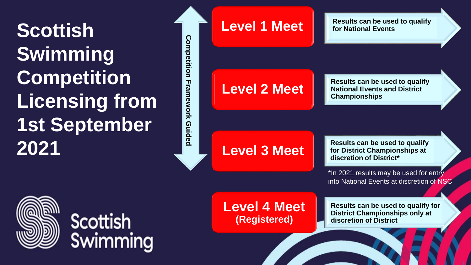**Scottish Swimming Competition Licensing from 1st September 2021** 



**Level 1 Meet Results can be used to qualify** 

## **Level 2 Meet**

**Competition Framework Guided**

Framework

**Guided** 

Competition

**Results can be used to qualify National Events and District Championships**

# **Level 3 Meet of District Champion**

**Results can be used to qualify for District Championships at** 

\*In 2021 results may be used for entry into National Events at discretion of NSC

**Scottish** Swimming **Level 4 Meet (Registered)**

**Results can be used to qualify for District Championships only at discretion of District**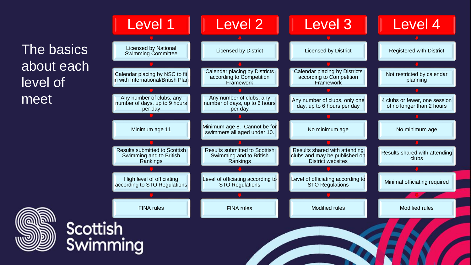The basics about each level of meet